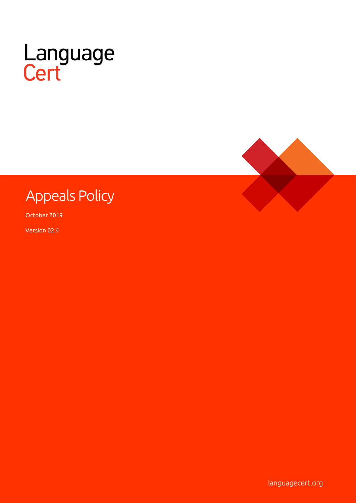



# **Appeals Policy**

October 2019

Version 02.4

languagecert.org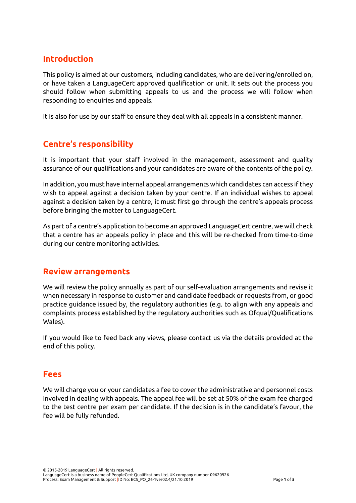## **Introduction**

This policy is aimed at our customers, including candidates, who are delivering/enrolled on, or have taken a LanguageCert approved qualification or unit. It sets out the process you should follow when submitting appeals to us and the process we will follow when responding to enquiries and appeals.

It is also for use by our staff to ensure they deal with all appeals in a consistent manner.

# **Centre's responsibility**

It is important that your staff involved in the management, assessment and quality assurance of our qualifications and your candidates are aware of the contents of the policy.

In addition, you must have internal appeal arrangements which candidates can access if they wish to appeal against a decision taken by your centre. If an individual wishes to appeal against a decision taken by a centre, it must first go through the centre's appeals process before bringing the matter to LanguageCert.

As part of a centre's application to become an approved LanguageCert centre, we will check that a centre has an appeals policy in place and this will be re-checked from time-to-time during our centre monitoring activities.

#### **Review arrangements**

We will review the policy annually as part of our self-evaluation arrangements and revise it when necessary in response to customer and candidate feedback or requests from, or good practice guidance issued by, the regulatory authorities (e.g. to align with any appeals and complaints process established by the regulatory authorities such as Ofqual/Qualifications Wales).

If you would like to feed back any views, please contact us via the details provided at the end of this policy.

#### **Fees**

We will charge you or your candidates a fee to cover the administrative and personnel costs involved in dealing with appeals. The appeal fee will be set at 50% of the exam fee charged to the test centre per exam per candidate. If the decision is in the candidate's favour, the fee will be fully refunded.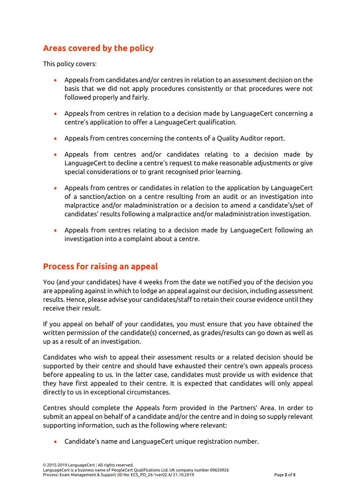# **Areas covered by the policy**

This policy covers:

- Appeals from candidates and/or centres in relation to an assessment decision on the basis that we did not apply procedures consistently or that procedures were not followed properly and fairly.
- Appeals from centres in relation to a decision made by LanguageCert concerning a centre's application to offer a LanguageCert qualification.
- Appeals from centres concerning the contents of a Quality Auditor report.
- Appeals from centres and/or candidates relating to a decision made by LanguageCert to decline a centre's request to make reasonable adjustments or give special considerations or to grant recognised prior learning.
- Appeals from centres or candidates in relation to the application by LanguageCert of a sanction/action on a centre resulting from an audit or an investigation into malpractice and/or maladministration or a decision to amend a candidate's/set of candidates' results following a malpractice and/or maladministration investigation.
- Appeals from centres relating to a decision made by LanguageCert following an investigation into a complaint about a centre.

### **Process for raising an appeal**

You (and your candidates) have 4 weeks from the date we notified you of the decision you are appealing against in which to lodge an appeal against our decision, including assessment results. Hence, please advise your candidates/staff to retain their course evidence until they receive their result.

If you appeal on behalf of your candidates, you must ensure that you have obtained the written permission of the candidate(s) concerned, as grades/results can go down as well as up as a result of an investigation.

Candidates who wish to appeal their assessment results or a related decision should be supported by their centre and should have exhausted their centre's own appeals process before appealing to us. In the latter case, candidates must provide us with evidence that they have first appealed to their centre. It is expected that candidates will only appeal directly to us in exceptional circumstances.

Centres should complete the Appeals form provided in the Partners' Area. In order to submit an appeal on behalf of a candidate and/or the centre and in doing so supply relevant supporting information, such as the following where relevant:

• Candidate's name and LanguageCert unique registration number.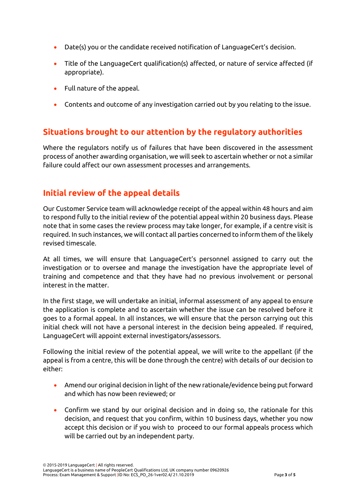- Date(s) you or the candidate received notification of LanguageCert's decision.
- Title of the LanguageCert qualification(s) affected, or nature of service affected (if appropriate).
- Full nature of the appeal.
- Contents and outcome of any investigation carried out by you relating to the issue.

# **Situations brought to our attention by the regulatory authorities**

Where the regulators notify us of failures that have been discovered in the assessment process of another awarding organisation, we will seek to ascertain whether or not a similar failure could affect our own assessment processes and arrangements.

## **Initial review of the appeal details**

Our Customer Service team will acknowledge receipt of the appeal within 48 hours and aim to respond fully to the initial review of the potential appeal within 20 business days. Please note that in some cases the review process may take longer, for example, if a centre visit is required. In such instances, we will contact all parties concerned to inform them of the likely revised timescale.

At all times, we will ensure that LanguageCert's personnel assigned to carry out the investigation or to oversee and manage the investigation have the appropriate level of training and competence and that they have had no previous involvement or personal interest in the matter.

In the first stage, we will undertake an initial, informal assessment of any appeal to ensure the application is complete and to ascertain whether the issue can be resolved before it goes to a formal appeal. In all instances, we will ensure that the person carrying out this initial check will not have a personal interest in the decision being appealed. If required, LanguageCert will appoint external investigators/assessors.

Following the initial review of the potential appeal, we will write to the appellant (if the appeal is from a centre, this will be done through the centre) with details of our decision to either:

- Amend our original decision in light of the new rationale/evidence being put forward and which has now been reviewed; or
- Confirm we stand by our original decision and in doing so, the rationale for this decision, and request that you confirm, within 10 business days, whether you now accept this decision or if you wish to proceed to our formal appeals process which will be carried out by an independent party.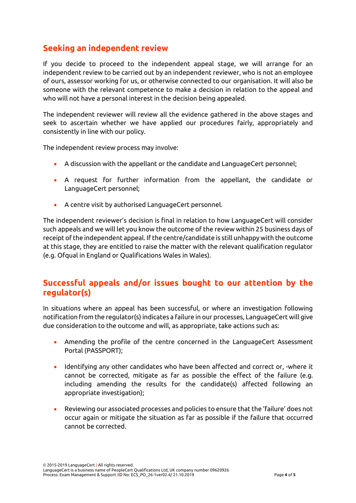# **Seeking an independent review**

If you decide to proceed to the independent appeal stage, we will arrange for an independent review to be carried out by an independent reviewer, who is not an employee of ours, assessor working for us, or otherwise connected to our organisation. It will also be someone with the relevant competence to make a decision in relation to the appeal and who will not have a personal interest in the decision being appealed.

The independent reviewer will review all the evidence gathered in the above stages and seek to ascertain whether we have applied our procedures fairly, appropriately and consistently in line with our policy.

The independent review process may involve:

- A discussion with the appellant or the candidate and LanguageCert personnel;
- A request for further information from the appellant, the candidate or LanguageCert personnel;
- A centre visit by authorised LanguageCert personnel.

The independent reviewer's decision is final in relation to how LanguageCert will consider such appeals and we will let you know the outcome of the review within 25 business days of receipt of the independent appeal. If the centre/candidate is still unhappy with the outcome at this stage, they are entitled to raise the matter with the relevant qualification regulator (e.g. Ofqual in England or Qualifications Wales in Wales).

### **Successful appeals and/or issues bought to our attention by the regulator(s)**

In situations where an appeal has been successful, or where an investigation following notification from the regulator(s) indicates a failure in our processes, LanguageCert will give due consideration to the outcome and will, as appropriate, take actions such as:

- Amending the profile of the centre concerned in the LanguageCert Assessment Portal (PASSPORT);
- Identifying any other candidates who have been affected and correct or, -where it cannot be corrected, mitigate as far as possible the effect of the failure (e.g. including amending the results for the candidate(s) affected following an appropriate investigation);
- Reviewing our associated processes and policies to ensure that the 'failure' does not occur again or mitigate the situation as far as possible if the failure that occurred cannot be corrected.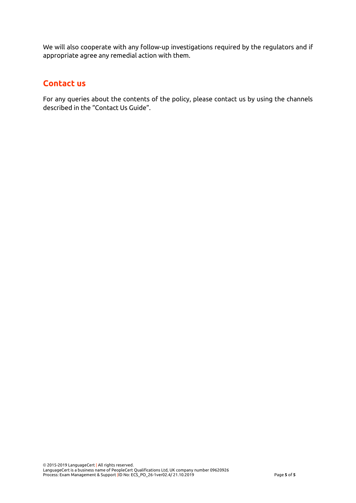We will also cooperate with any follow-up investigations required by the regulators and if appropriate agree any remedial action with them.

#### **Contact us**

For any queries about the contents of the policy, please contact us by using the channels described in the "Contact Us Guide".